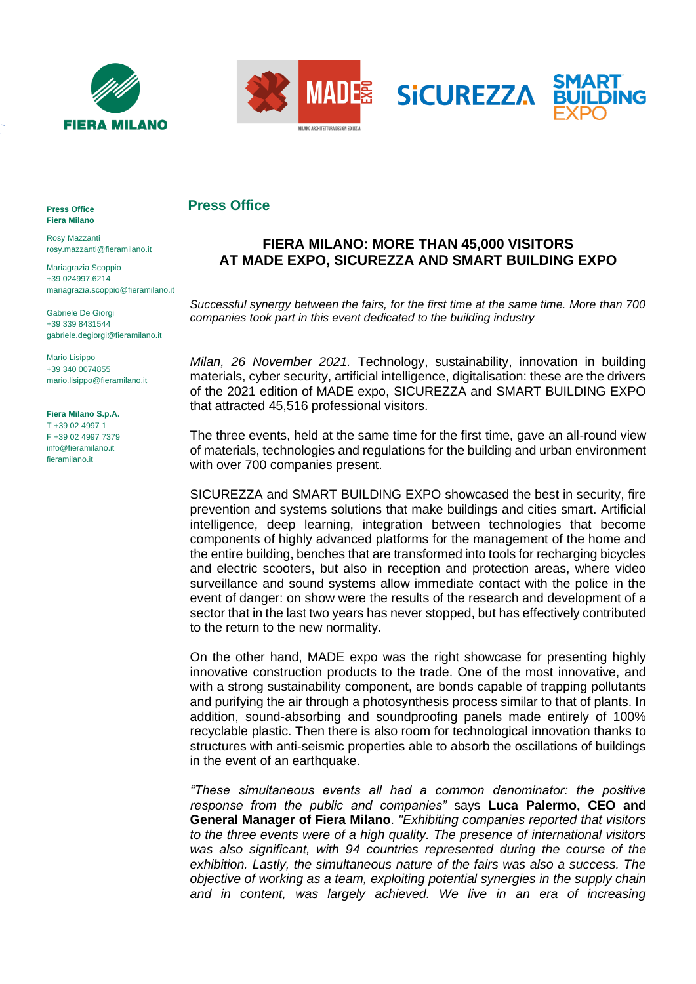



## **Press Office**

## **FIERA MILANO: MORE THAN 45,000 VISITORS AT MADE EXPO, SICUREZZA AND SMART BUILDING EXPO**

*Successful synergy between the fairs, for the first time at the same time. More than 700 companies took part in this event dedicated to the building industry* 

*Milan, 26 November 2021.* Technology, sustainability, innovation in building materials, cyber security, artificial intelligence, digitalisation: these are the drivers of the 2021 edition of MADE expo, SICUREZZA and SMART BUILDING EXPO that attracted 45,516 professional visitors.

The three events, held at the same time for the first time, gave an all-round view of materials, technologies and regulations for the building and urban environment with over 700 companies present.

SICUREZZA and SMART BUILDING EXPO showcased the best in security, fire prevention and systems solutions that make buildings and cities smart. Artificial intelligence, deep learning, integration between technologies that become components of highly advanced platforms for the management of the home and the entire building, benches that are transformed into tools for recharging bicycles and electric scooters, but also in reception and protection areas, where video surveillance and sound systems allow immediate contact with the police in the event of danger: on show were the results of the research and development of a sector that in the last two years has never stopped, but has effectively contributed to the return to the new normality.

On the other hand, MADE expo was the right showcase for presenting highly innovative construction products to the trade. One of the most innovative, and with a strong sustainability component, are bonds capable of trapping pollutants and purifying the air through a photosynthesis process similar to that of plants. In addition, sound-absorbing and soundproofing panels made entirely of 100% recyclable plastic. Then there is also room for technological innovation thanks to structures with anti-seismic properties able to absorb the oscillations of buildings in the event of an earthquake.

*"These simultaneous events all had a common denominator: the positive response from the public and companies"* says **Luca Palermo, CEO and General Manager of Fiera Milano**. *"Exhibiting companies reported that visitors to the three events were of a high quality. The presence of international visitors was also significant, with 94 countries represented during the course of the exhibition. Lastly, the simultaneous nature of the fairs was also a success. The objective of working as a team, exploiting potential synergies in the supply chain and in content, was largely achieved. We live in an era of increasing* 

**Press Office Fiera Milano**

Rosy Mazzanti rosy.mazzanti@fieramilano.it

Mariagrazia Scoppio +39 024997.6214 mariagrazia.scoppio@fieramilano.it

Gabriele De Giorgi +39 339 8431544 gabriele.degiorgi@fieramilano.it

Mario Lisippo +39 340 0074855 mario.lisippo@fieramilano.it

## **Fiera Milano S.p.A.**

T +39 02 4997 1 F +39 02 4997 7379 info@fieramilano.it fieramilano.it